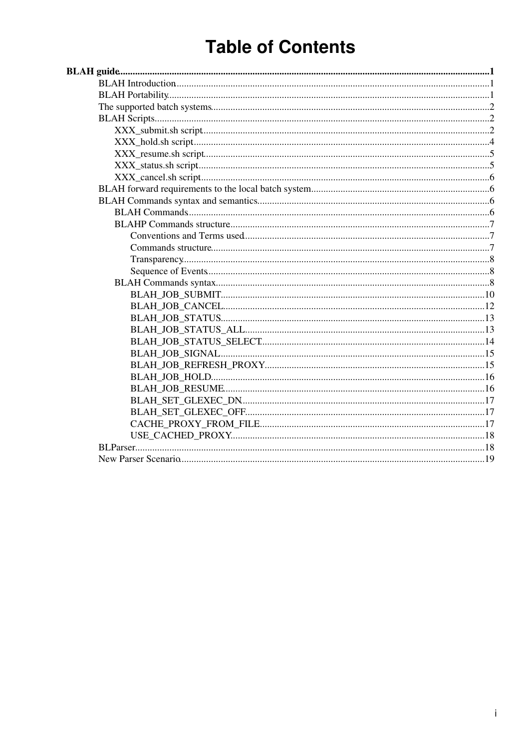# **Table of Contents**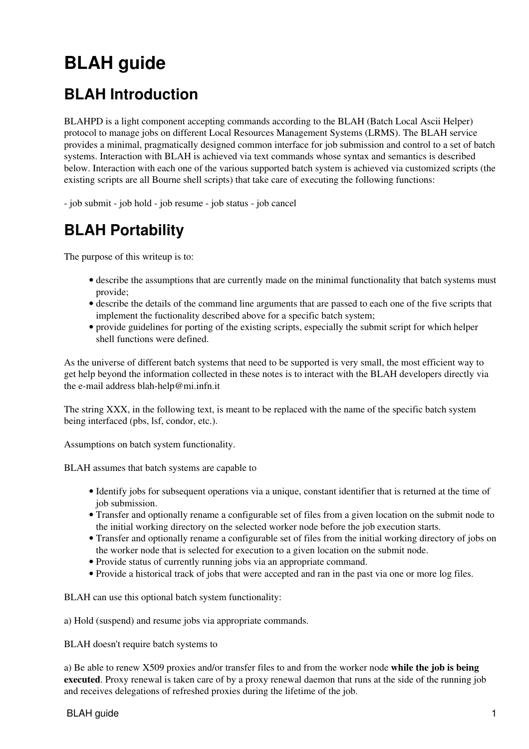# <span id="page-1-0"></span>**BLAH guide**

## <span id="page-1-1"></span>**BLAH Introduction**

BLAHPD is a light component accepting commands according to the BLAH (Batch Local Ascii Helper) protocol to manage jobs on different Local Resources Management Systems (LRMS). The BLAH service provides a minimal, pragmatically designed common interface for job submission and control to a set of batch systems. Interaction with BLAH is achieved via text commands whose syntax and semantics is described below. Interaction with each one of the various supported batch system is achieved via customized scripts (the existing scripts are all Bourne shell scripts) that take care of executing the following functions:

- job submit - job hold - job resume - job status - job cancel

## <span id="page-1-2"></span>**BLAH Portability**

The purpose of this writeup is to:

- describe the assumptions that are currently made on the minimal functionality that batch systems must provide;
- describe the details of the command line arguments that are passed to each one of the five scripts that implement the fuctionality described above for a specific batch system;
- provide guidelines for porting of the existing scripts, especially the submit script for which helper shell functions were defined.

As the universe of different batch systems that need to be supported is very small, the most efficient way to get help beyond the information collected in these notes is to interact with the BLAH developers directly via the e-mail address [blah-help@mi.infn.it](mailto:blah-help@mi.infn.it)

The string XXX, in the following text, is meant to be replaced with the name of the specific batch system being interfaced (pbs, lsf, condor, etc.).

Assumptions on batch system functionality.

BLAH assumes that batch systems are capable to

- Identify jobs for subsequent operations via a unique, constant identifier that is returned at the time of job submission.
- Transfer and optionally rename a configurable set of files from a given location on the submit node to the initial working directory on the selected worker node before the job execution starts.
- Transfer and optionally rename a configurable set of files from the initial working directory of jobs on the worker node that is selected for execution to a given location on the submit node.
- Provide status of currently running jobs via an appropriate command.
- Provide a historical track of jobs that were accepted and ran in the past via one or more log files.

BLAH can use this optional batch system functionality:

a) Hold (suspend) and resume jobs via appropriate commands.

BLAH doesn't require batch systems to

a) Be able to renew X509 proxies and/or transfer files to and from the worker node **while the job is being executed**. Proxy renewal is taken care of by a proxy renewal daemon that runs at the side of the running job and receives delegations of refreshed proxies during the lifetime of the job.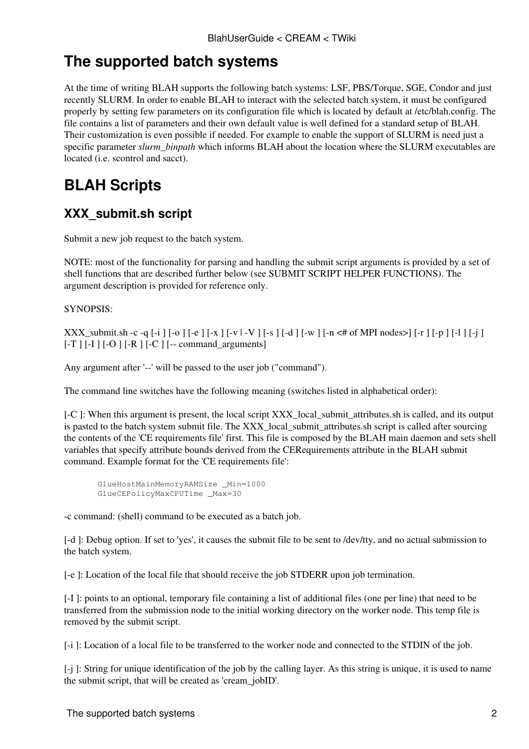## <span id="page-2-0"></span>**The supported batch systems**

At the time of writing BLAH supports the following batch systems: LSF, PBS/Torque, SGE, Condor and just recently SLURM. In order to enable BLAH to interact with the selected batch system, it must be configured properly by setting few parameters on its configuration file which is located by default at /etc/blah.config. The file contains a list of parameters and their own default value is well defined for a standard setup of BLAH. Their customization is even possible if needed. For example to enable the support of SLURM is need just a specific parameter *slurm\_binpath* which informs BLAH about the location where the SLURM executables are located (i.e. scontrol and sacct).

## <span id="page-2-1"></span>**BLAH Scripts**

## <span id="page-2-2"></span>**XXX\_submit.sh script**

Submit a new job request to the batch system.

NOTE: most of the functionality for parsing and handling the submit script arguments is provided by a set of shell functions that are described further below (see SUBMIT SCRIPT HELPER FUNCTIONS). The argument description is provided for reference only.

SYNOPSIS:

XXX\_submit.sh -c -q  $[-i]$   $[-o]$   $[-e]$   $[-x]$   $[-v]$   $[-V]$   $[-s]$   $[-d]$   $[-w]$   $[-n \leq #$  of MPI nodes $>[-r]$   $[-p]$   $[-1]$   $[-j]$  $[-T] [-I] [-O] [-R] [-C] [-command\_arguments]$ 

Any argument after '--' will be passed to the user job ("command").

The command line switches have the following meaning (switches listed in alphabetical order):

[-C]: When this argument is present, the local script XXX\_local\_submit\_attributes.sh is called, and its output is pasted to the batch system submit file. The XXX local submit attributes.sh script is called after sourcing the contents of the 'CE requirements file' first. This file is composed by the BLAH main daemon and sets shell variables that specify attribute bounds derived from the CERequirements attribute in the BLAH submit command. Example format for the 'CE requirements file':

```
 GlueHostMainMemoryRAMSize _Min=1000
 GlueCEPolicyMaxCPUTime _Max=30
```
-c command: (shell) command to be executed as a batch job.

[-d ]: Debug option. If set to 'yes', it causes the submit file to be sent to /dev/tty, and no actual submission to the batch system.

[-e ]: Location of the local file that should receive the job STDERR upon job termination.

[-I ]: points to an optional, temporary file containing a list of additional files (one per line) that need to be transferred from the submission node to the initial working directory on the worker node. This temp file is removed by the submit script.

[-i ]: Location of a local file to be transferred to the worker node and connected to the STDIN of the job.

[-j ]: String for unique identification of the job by the calling layer. As this string is unique, it is used to name the submit script, that will be created as 'cream\_jobID'.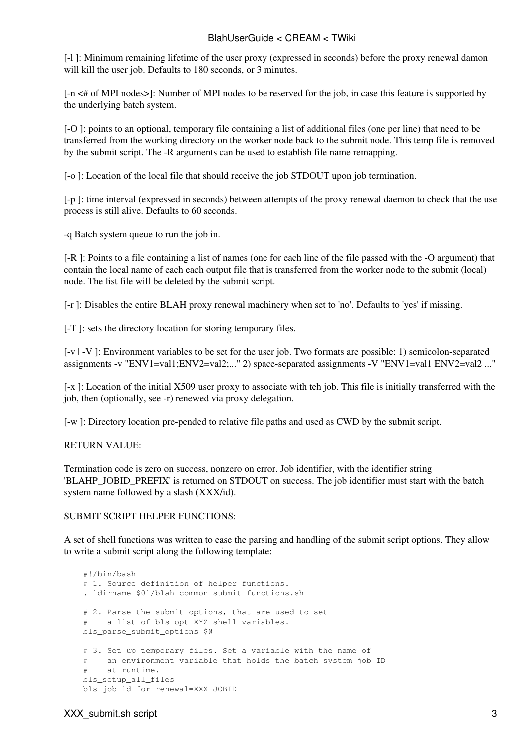[-l ]: Minimum remaining lifetime of the user proxy (expressed in seconds) before the proxy renewal damon will kill the user job. Defaults to 180 seconds, or 3 minutes.

[-n <# of MPI nodes>]: Number of MPI nodes to be reserved for the job, in case this feature is supported by the underlying batch system.

[-O ]: points to an optional, temporary file containing a list of additional files (one per line) that need to be transferred from the working directory on the worker node back to the submit node. This temp file is removed by the submit script. The -R arguments can be used to establish file name remapping.

[-o ]: Location of the local file that should receive the job STDOUT upon job termination.

[-p ]: time interval (expressed in seconds) between attempts of the proxy renewal daemon to check that the use process is still alive. Defaults to 60 seconds.

-q Batch system queue to run the job in.

[-R ]: Points to a file containing a list of names (one for each line of the file passed with the -O argument) that contain the local name of each each output file that is transferred from the worker node to the submit (local) node. The list file will be deleted by the submit script.

[-r ]: Disables the entire BLAH proxy renewal machinery when set to 'no'. Defaults to 'yes' if missing.

[-T ]: sets the directory location for storing temporary files.

[-v | -V ]: Environment variables to be set for the user job. Two formats are possible: 1) semicolon-separated assignments -v "ENV1=val1;ENV2=val2;..." 2) space-separated assignments -V "ENV1=val1 ENV2=val2 ..."

[-x ]: Location of the initial X509 user proxy to associate with teh job. This file is initially transferred with the job, then (optionally, see -r) renewed via proxy delegation.

[-w ]: Directory location pre-pended to relative file paths and used as CWD by the submit script.

#### RETURN VALUE:

Termination code is zero on success, nonzero on error. Job identifier, with the identifier string 'BLAHP\_JOBID\_PREFIX' is returned on STDOUT on success. The job identifier must start with the batch system name followed by a slash (XXX/id).

#### SUBMIT SCRIPT HELPER FUNCTIONS:

A set of shell functions was written to ease the parsing and handling of the submit script options. They allow to write a submit script along the following template:

```
 #!/bin/bash
 # 1. Source definition of helper functions.
 . `dirname $0`/blah_common_submit_functions.sh
# 2. Parse the submit options, that are used to set
# a list of bls opt XYZ shell variables.
 bls_parse_submit_options $@
 # 3. Set up temporary files. Set a variable with the name of
 # an environment variable that holds the batch system job ID
 # at runtime.
bls setup all files
bls_job_id_for_renewal=XXX_JOBID
```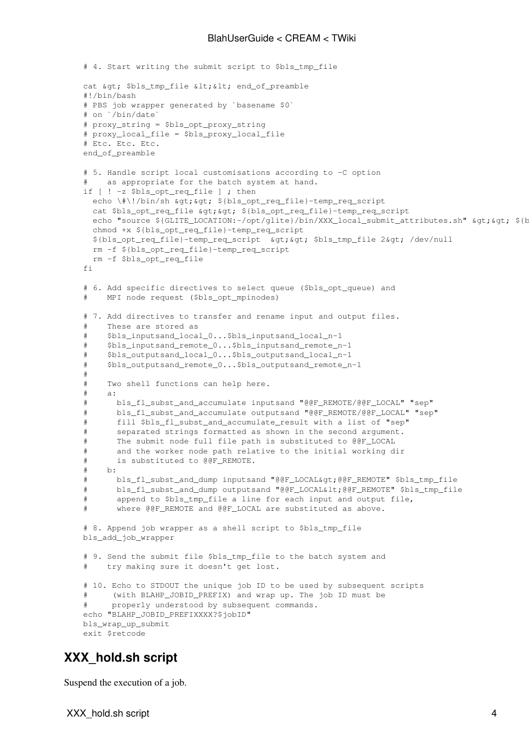```
 # 4. Start writing the submit script to $bls_tmp_file
   cat > $bls_tmp_file < &lt; end_of_preamble
    #!/bin/bash
    # PBS job wrapper generated by `basename $0`
    # on `/bin/date`
    # proxy_string = $bls_opt_proxy_string
    # proxy_local_file = $bls_proxy_local_file
    # Etc. Etc. Etc.
    end_of_preamble
    # 5. Handle script local customisations according to -C option
       as appropriate for the batch system at hand.
    if [ ! -z $bls_opt_req_file ] ; then
     echo \#\!/bin/sh \sqrt{a}t; \int{bls_opt_req_file}-temp_req_script
     cat $bls_opt_req_file > > ${bls_opt_req_file}-temp_req_script
     echo "source ${GLITE_LOCATION:-/opt/glite}/bin/XXX_local_submit_attributes.sh" > > ${b
      chmod +x ${bls_opt_req_file}-temp_req_script
     ${bls opt req file}-temp req script >qt; >bls tmp file 2>qt; /dev/null
      rm -f ${bls_opt_req_file}-temp_req_script
      rm -f $bls_opt_req_file
   f_i # 6. Add specific directives to select queue ($bls_opt_queue) and
        MPI node request ($bls_opt_mpinodes)
    # 7. Add directives to transfer and rename input and output files.
    # These are stored as 
    # $bls_inputsand_local_0...$bls_inputsand_local_n-1
    # $bls_inputsand_remote_0...$bls_inputsand_remote_n-1
    # $bls_outputsand_local_0...$bls_outputsand_local_n-1
    # $bls_outputsand_remote_0...$bls_outputsand_remote_n-1
    #
    # Two shell functions can help here.
 # a:
    # bls_fl_subst_and_accumulate inputsand "@@F_REMOTE/@@F_LOCAL" "sep"
    # bls_fl_subst_and_accumulate outputsand "@@F_REMOTE/@@F_LOCAL" "sep"
    # fill $bls_fl_subst_and_accumulate_result with a list of "sep"
    # separated strings formatted as shown in the second argument.
    # The submit node full file path is substituted to @@F_LOCAL
    # and the worker node path relative to the initial working dir
    # is substituted to @@F_REMOTE.
    # b:
    # bls_fl_subst_and_dump inputsand "@@F_LOCAL>@@F_REMOTE" $bls_tmp_file
   # bls_fl_subst_and_dump outputsand "@@F_LOCAL<@@F_REMOTE" $bls_tmp_file
    # append to $bls_tmp_file a line for each input and output file,
    # where @@F_REMOTE and @@F_LOCAL are substituted as above.
    # 8. Append job wrapper as a shell script to $bls_tmp_file
    bls_add_job_wrapper
   # 9. Send the submit file $bls_tmp_file to the batch system and
      try making sure it doesn't get lost.
    # 10. Echo to STDOUT the unique job ID to be used by subsequent scripts
    # (with BLAHP_JOBID_PREFIX) and wrap up. The job ID must be
    # properly understood by subsequent commands.
    echo "BLAHP_JOBID_PREFIXXXX?$jobID"
    bls_wrap_up_submit
    exit $retcode
```
## <span id="page-4-0"></span>**XXX\_hold.sh script**

Suspend the execution of a job.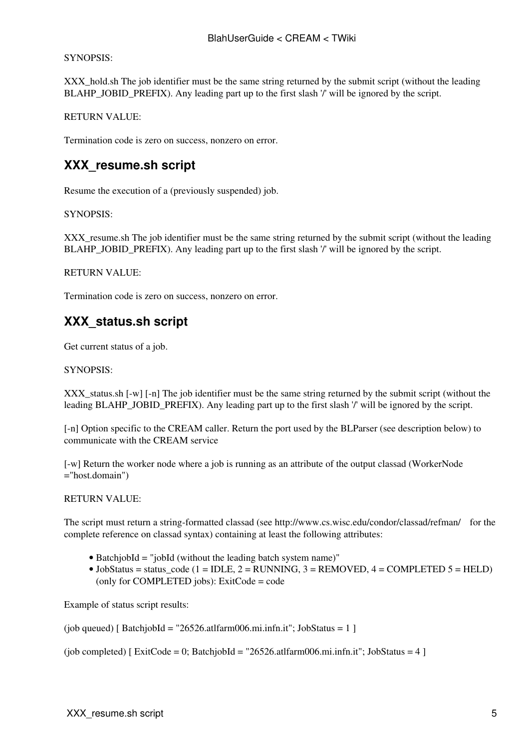#### SYNOPSIS:

XXX<sub>\_</sub>hold.sh The job identifier must be the same string returned by the submit script (without the leading BLAHP\_JOBID\_PREFIX). Any leading part up to the first slash  $\gamma$  will be ignored by the script.

RETURN VALUE:

Termination code is zero on success, nonzero on error.

## <span id="page-5-0"></span>**XXX\_resume.sh script**

Resume the execution of a (previously suspended) job.

SYNOPSIS:

XXX\_resume.sh The job identifier must be the same string returned by the submit script (without the leading BLAHP\_JOBID\_PREFIX). Any leading part up to the first slash '/' will be ignored by the script.

RETURN VALUE:

Termination code is zero on success, nonzero on error.

## <span id="page-5-1"></span>**XXX\_status.sh script**

Get current status of a job.

SYNOPSIS:

XXX\_status.sh [-w] [-n] The job identifier must be the same string returned by the submit script (without the leading BLAHP\_JOBID\_PREFIX). Any leading part up to the first slash '/' will be ignored by the script.

[-n] Option specific to the CREAM caller. Return the port used by the BLParser (see description below) to communicate with the CREAM service

[-w] Return the worker node where a job is running as an attribute of the output classad [\(WorkerNode](https://wiki-igi.cnaf.infn.it/twiki/bin/edit/CREAM/WorkerNode?topicparent=CREAM.BlahUserGuide;nowysiwyg=0) ="host.domain")

RETURN VALUE:

The script must return a string-formatted classad (see<http://www.cs.wisc.edu/condor/classad/refman/>for the complete reference on classad syntax) containing at least the following attributes:

- [BatchjobId](https://wiki-igi.cnaf.infn.it/twiki/bin/edit/CREAM/BatchjobId?topicparent=CREAM.BlahUserGuide;nowysiwyg=0) = "jobId (without the leading batch system name)"
- [JobStatus](https://wiki-igi.cnaf.infn.it/twiki/bin/edit/CREAM/JobStatus?topicparent=CREAM.BlahUserGuide;nowysiwyg=0) = status\_code  $(1 = IDLE, 2 = RUNNING, 3 = REMOVED, 4 = COMPLETED 5 = HELD)$ (only for COMPLETED jobs): [ExitCode](https://wiki-igi.cnaf.infn.it/twiki/bin/edit/CREAM/ExitCode?topicparent=CREAM.BlahUserGuide;nowysiwyg=0) =  $code$

Example of status script results:

(job queued) [ [BatchjobId](https://wiki-igi.cnaf.infn.it/twiki/bin/edit/CREAM/BatchjobId?topicparent=CREAM.BlahUserGuide;nowysiwyg=0) = "26526.atlfarm006.mi.infn.it"; [JobStatus](https://wiki-igi.cnaf.infn.it/twiki/bin/edit/CREAM/JobStatus?topicparent=CREAM.BlahUserGuide;nowysiwyg=0) = 1 ]

(job completed) [ [ExitCode](https://wiki-igi.cnaf.infn.it/twiki/bin/edit/CREAM/ExitCode?topicparent=CREAM.BlahUserGuide;nowysiwyg=0) = 0; [BatchjobId](https://wiki-igi.cnaf.infn.it/twiki/bin/edit/CREAM/BatchjobId?topicparent=CREAM.BlahUserGuide;nowysiwyg=0) = "26526.atlfarm006.mi.infn.it"; [JobStatus](https://wiki-igi.cnaf.infn.it/twiki/bin/edit/CREAM/JobStatus?topicparent=CREAM.BlahUserGuide;nowysiwyg=0) = 4 ]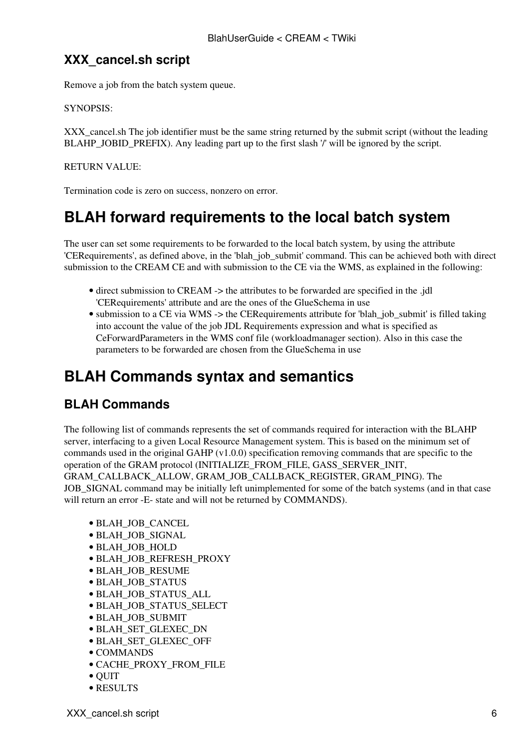## <span id="page-6-0"></span>**XXX\_cancel.sh script**

Remove a job from the batch system queue.

#### SYNOPSIS:

XXX cancel.sh The job identifier must be the same string returned by the submit script (without the leading BLAHP\_JOBID\_PREFIX). Any leading part up to the first slash '/' will be ignored by the script.

#### RETURN VALUE:

Termination code is zero on success, nonzero on error.

## <span id="page-6-1"></span>**BLAH forward requirements to the local batch system**

The user can set some requirements to be forwarded to the local batch system, by using the attribute 'CERequirements', as defined above, in the 'blah\_job\_submit' command. This can be achieved both with direct submission to the CREAM CE and with submission to the CE via the WMS, as explained in the following:

- direct submission to CREAM -> the attributes to be forwarded are specified in the .jdl 'CERequirements' attribute and are the ones of the [GlueSchema](https://wiki-igi.cnaf.infn.it/twiki/bin/edit/CREAM/GlueSchema?topicparent=CREAM.BlahUserGuide;nowysiwyg=0) in use
- submission to a CE via WMS -> the CERequirements attribute for 'blah\_job\_submit' is filled taking into account the value of the job JDL Requirements expression and what is specified as [CeForwardParameters](https://wiki-igi.cnaf.infn.it/twiki/bin/edit/CREAM/CeForwardParameters?topicparent=CREAM.BlahUserGuide;nowysiwyg=0) in the WMS conf file (workloadmanager section). Also in this case the parameters to be forwarded are chosen from the [GlueSchema](https://wiki-igi.cnaf.infn.it/twiki/bin/edit/CREAM/GlueSchema?topicparent=CREAM.BlahUserGuide;nowysiwyg=0) in use

## <span id="page-6-2"></span>**BLAH Commands syntax and semantics**

## <span id="page-6-3"></span>**BLAH Commands**

The following list of commands represents the set of commands required for interaction with the BLAHP server, interfacing to a given Local Resource Management system. This is based on the minimum set of commands used in the original GAHP (v1.0.0) specification removing commands that are specific to the operation of the GRAM protocol (INITIALIZE\_FROM\_FILE, GASS\_SERVER\_INIT, GRAM\_CALLBACK\_ALLOW, GRAM\_JOB\_CALLBACK\_REGISTER, GRAM\_PING). The

JOB\_SIGNAL command may be initially left unimplemented for some of the batch systems (and in that case will return an error -E- state and will not be returned by COMMANDS).

- BLAH\_JOB\_CANCEL
- BLAH\_JOB\_SIGNAL
- BLAH\_JOB\_HOLD
- BLAH\_JOB\_REFRESH\_PROXY
- BLAH\_JOB\_RESUME
- BLAH\_JOB\_STATUS
- BLAH\_JOB\_STATUS\_ALL
- BLAH\_JOB\_STATUS\_SELECT
- BLAH\_JOB\_SUBMIT
- BLAH\_SET\_GLEXEC\_DN
- BLAH\_SET\_GLEXEC\_OFF
- COMMANDS
- CACHE\_PROXY\_FROM\_FILE
- QUIT
- RESULTS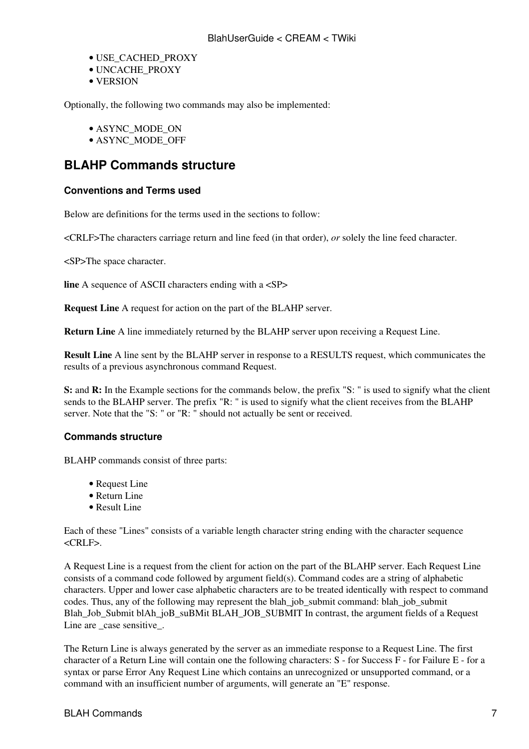- USE\_CACHED\_PROXY
- UNCACHE\_PROXY
- VERSION

Optionally, the following two commands may also be implemented:

- ASYNC\_MODE\_ON
- ASYNC\_MODE\_OFF

### <span id="page-7-0"></span>**BLAHP Commands structure**

#### <span id="page-7-1"></span>**Conventions and Terms used**

Below are definitions for the terms used in the sections to follow:

<CRLF>The characters carriage return and line feed (in that order), *or* solely the line feed character.

<SP>The space character.

**line** A sequence of ASCII characters ending with a  $\langle$ SP>

**Request Line** A request for action on the part of the BLAHP server.

**Return Line** A line immediately returned by the BLAHP server upon receiving a Request Line.

**Result Line** A line sent by the BLAHP server in response to a RESULTS request, which communicates the results of a previous asynchronous command Request.

**S:** and **R:** In the Example sections for the commands below, the prefix "S: " is used to signify what the client sends to the BLAHP server. The prefix "R: " is used to signify what the client receives from the BLAHP server. Note that the "S: " or "R: " should not actually be sent or received.

#### <span id="page-7-2"></span>**Commands structure**

BLAHP commands consist of three parts:

- Request Line
- Return Line
- Result Line

Each of these "Lines" consists of a variable length character string ending with the character sequence  $CRLE$ .

A Request Line is a request from the client for action on the part of the BLAHP server. Each Request Line consists of a command code followed by argument field(s). Command codes are a string of alphabetic characters. Upper and lower case alphabetic characters are to be treated identically with respect to command codes. Thus, any of the following may represent the blah\_job\_submit command: blah\_job\_submit Blah\_Job\_Submit blAh\_joB\_suBMit BLAH\_JOB\_SUBMIT In contrast, the argument fields of a Request Line are case sensitive.

The Return Line is always generated by the server as an immediate response to a Request Line. The first character of a Return Line will contain one the following characters: S - for Success F - for Failure E - for a syntax or parse Error Any Request Line which contains an unrecognized or unsupported command, or a command with an insufficient number of arguments, will generate an "E" response.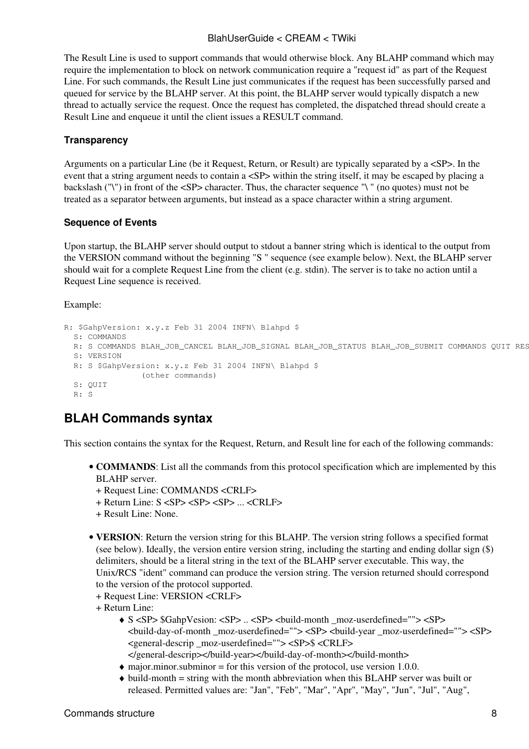The Result Line is used to support commands that would otherwise block. Any BLAHP command which may require the implementation to block on network communication require a "request id" as part of the Request Line. For such commands, the Result Line just communicates if the request has been successfully parsed and queued for service by the BLAHP server. At this point, the BLAHP server would typically dispatch a new thread to actually service the request. Once the request has completed, the dispatched thread should create a Result Line and enqueue it until the client issues a RESULT command.

#### <span id="page-8-0"></span>**Transparency**

Arguments on a particular Line (be it Request, Return, or Result) are typically separated by a <SP>. In the event that a string argument needs to contain a <SP> within the string itself, it may be escaped by placing a backslash ("\") in front of the <SP> character. Thus, the character sequence "\ " (no quotes) must not be treated as a separator between arguments, but instead as a space character within a string argument.

#### <span id="page-8-1"></span>**Sequence of Events**

Upon startup, the BLAHP server should output to stdout a banner string which is identical to the output from the VERSION command without the beginning "S " sequence (see example below). Next, the BLAHP server should wait for a complete Request Line from the client (e.g. stdin). The server is to take no action until a Request Line sequence is received.

#### Example:

```
R: $GahpVersion: x.y.z Feb 31 2004 INFN\ Blahpd $
  S: COMMANDS
 R: S COMMANDS BLAH_JOB_CANCEL BLAH_JOB_SIGNAL BLAH_JOB_STATUS BLAH_JOB_SUBMIT COMMANDS QUIT RES
   S: VERSION
  R: S $GahpVersion: x.y.z Feb 31 2004 INFN\ Blahpd $
               (other commands)
   S: QUIT
   R: S
```
## <span id="page-8-2"></span>**BLAH Commands syntax**

This section contains the syntax for the Request, Return, and Result line for each of the following commands:

- COMMANDS: List all the commands from this protocol specification which are implemented by this BLAHP server.
	- + Request Line: COMMANDS <CRLF>
	- + Return Line: S <SP> <SP> <SP> ... <CRLF>
	- + Result Line: None.
- VERSION: Return the version string for this BLAHP. The version string follows a specified format (see below). Ideally, the version entire version string, including the starting and ending dollar sign (\$) delimiters, should be a literal string in the text of the BLAHP server executable. This way, the Unix/RCS "ident" command can produce the version string. The version returned should correspond to the version of the protocol supported.
	- + Request Line: VERSION <CRLF>
	- + Return Line:
		- S <SP> \$GahpVesion: <SP> .. <SP> <build-month \_moz-userdefined=""> <SP> ♦  $\epsilon$ -build-day-of-month moz-userdefined="">  $\epsilon$ SP>  $\epsilon$ build-year moz-userdefined="">  $\epsilon$ SP> <general-descrip \_moz-userdefined=""> <SP>\$ <CRLF>
		- </general-descrip></build-year></build-day-of-month></build-month>
		- $\bullet$  major.minor.subminor = for this version of the protocol, use version 1.0.0. build-month = string with the month abbreviation when this BLAHP server was built or ♦
		- released. Permitted values are: "Jan", "Feb", "Mar", "Apr", "May", "Jun", "Jul", "Aug",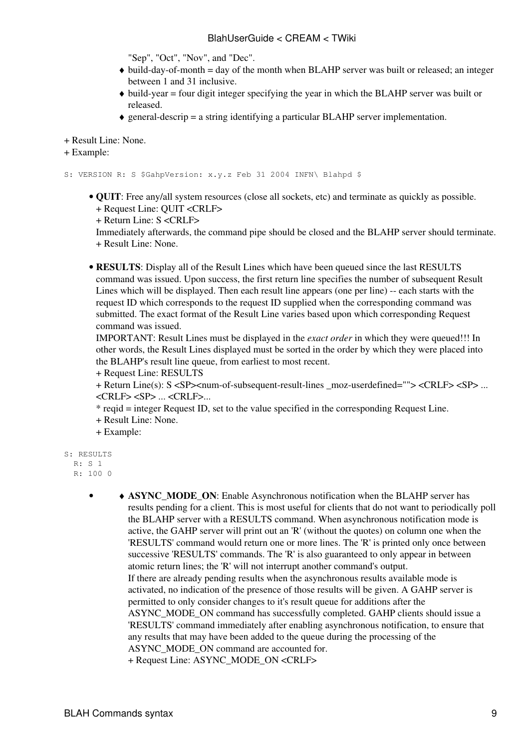"Sep", "Oct", "Nov", and "Dec".

- build-day-of-month = day of the month when BLAHP server was built or released; an integer ♦ between 1 and 31 inclusive.
- build-year = four digit integer specifying the year in which the BLAHP server was built or ♦ released.
- $\triangle$  general-descrip = a string identifying a particular BLAHP server implementation.

+ Result Line: None.

```
+ Example:
```
S: VERSION R: S \$GahpVersion: x.y.z Feb 31 2004 INFN\ Blahpd \$

**QUIT**: Free any/all system resources (close all sockets, etc) and terminate as quickly as possible. •

+ Request Line: QUIT <CRLF>

+ Return Line: S <CRLF>

Immediately afterwards, the command pipe should be closed and the BLAHP server should terminate. + Result Line: None.

• RESULTS: Display all of the Result Lines which have been queued since the last RESULTS command was issued. Upon success, the first return line specifies the number of subsequent Result Lines which will be displayed. Then each result line appears (one per line) -- each starts with the request ID which corresponds to the request ID supplied when the corresponding command was submitted. The exact format of the Result Line varies based upon which corresponding Request command was issued.

IMPORTANT: Result Lines must be displayed in the *exact order* in which they were queued!!! In other words, the Result Lines displayed must be sorted in the order by which they were placed into the BLAHP's result line queue, from earliest to most recent.

+ Request Line: RESULTS

+ Return Line(s): S <SP><num-of-subsequent-result-lines \_moz-userdefined=""> <CRLF> <SP> ... <CRLF> <SP> ... <CRLF>...

- \* reqid = integer Request ID, set to the value specified in the corresponding Request Line.
- + Result Line: None.
- + Example:

```
S: RESULTS
  R \cdot S 1
   R: 100 0
```

```
• • ASYNC_MODE_ON: Enable Asynchronous notification when the BLAHP server has
         results pending for a client. This is most useful for clients that do not want to periodically poll
         the BLAHP server with a RESULTS command. When asynchronous notification mode is
         active, the GAHP server will print out an 'R' (without the quotes) on column one when the
         'RESULTS' command would return one or more lines. The 'R' is printed only once between
         successive 'RESULTS' commands. The 'R' is also guaranteed to only appear in between
         atomic return lines; the 'R' will not interrupt another command's output.
        If there are already pending results when the asynchronous results available mode is
         activated, no indication of the presence of those results will be given. A GAHP server is
         permitted to only consider changes to it's result queue for additions after the
         ASYNC_MODE_ON command has successfully completed. GAHP clients should issue a
         'RESULTS' command immediately after enabling asynchronous notification, to ensure that
         any results that may have been added to the queue during the processing of the
         ASYNC_MODE_ON command are accounted for.
```

```
+ Request Line: ASYNC_MODE_ON <CRLF>
```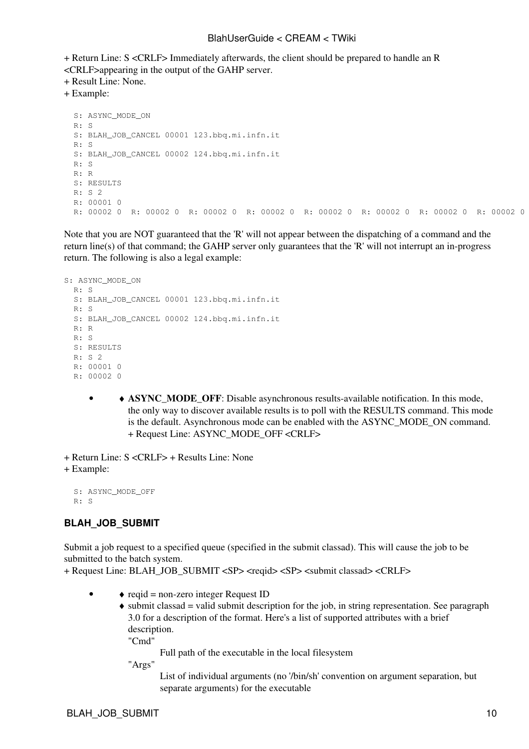+ Return Line: S <CRLF> Immediately afterwards, the client should be prepared to handle an R <CRLF>appearing in the output of the GAHP server.

+ Result Line: None.

+ Example:

```
 S: ASYNC_MODE_ON
 R: S
S: BLAH JOB CANCEL 00001 123.bbq.mi.infn.it
 R: S
 S: BLAH_JOB_CANCEL 00002 124.bbq.mi.infn.it
R^{\bullet} \alpha R: R
 S: RESULTS
 R: S 2
 R: 00001 0
 R: 00002 0 R: 00002 0 R: 00002 0 R: 00002 0 R: 00002 0 R: 00002 0 R: 00002 0 R: 00002 0 R: 00002 0 R: 00002 0 R: 00002 0 R: 00002 0 R: 00002 0 R: 00002 0 R: 00002 0 R: 00002 0
```
Note that you are NOT guaranteed that the 'R' will not appear between the dispatching of a command and the return line(s) of that command; the GAHP server only guarantees that the 'R' will not interrupt an in-progress return. The following is also a legal example:

```
S: ASYNC_MODE_ON
 R \cdot S S: BLAH_JOB_CANCEL 00001 123.bbq.mi.infn.it
  R: S
  S: BLAH_JOB_CANCEL 00002 124.bbq.mi.infn.it
  R: R
  R: S
  S: RESULTS
  R: S 2
  R: 00001 0
  R: 00002 0
```
• **ASYNC\_MODE\_OFF**: Disable asynchronous results-available notification. In this mode, the only way to discover available results is to poll with the RESULTS command. This mode is the default. Asynchronous mode can be enabled with the ASYNC\_MODE\_ON command. + Request Line: ASYNC\_MODE\_OFF <CRLF>

+ Return Line: S <CRLF> + Results Line: None

```
+ Example:
```
 S: ASYNC\_MODE\_OFF R: S

#### <span id="page-10-0"></span>**BLAH\_JOB\_SUBMIT**

Submit a job request to a specified queue (specified in the submit classad). This will cause the job to be submitted to the batch system.

+ Request Line: BLAH\_JOB\_SUBMIT <SP> <reqid> <SP> <submit classad> <CRLF>

- ♦ reqid = non-zero integer Request ID •
	- submit classad = valid submit description for the job, in string representation. See paragraph ♦ 3.0 for a description of the format. Here's a list of supported attributes with a brief description.

"Cmd"

Full path of the executable in the local filesystem

"Args"

List of individual arguments (no '/bin/sh' convention on argument separation, but separate arguments) for the executable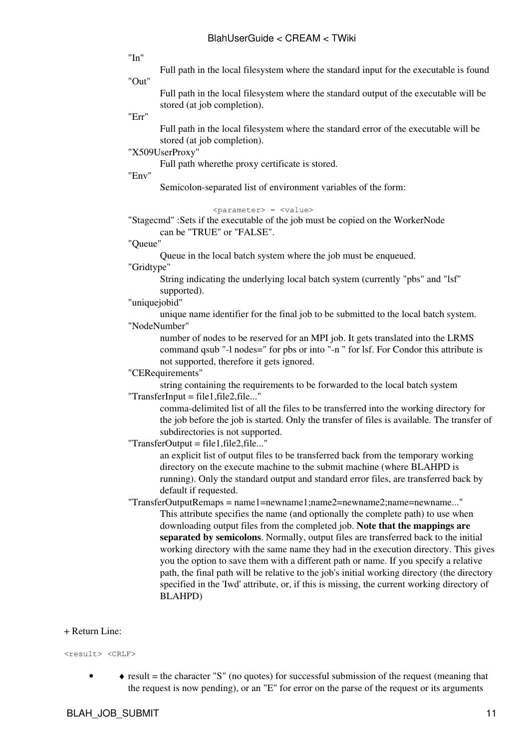"In"

Full path in the local filesystem where the standard input for the executable is found

"Out"

Full path in the local filesystem where the standard output of the executable will be stored (at job completion).

"Err"

Full path in the local filesystem where the standard error of the executable will be stored (at job completion).

"X509UserProxy"

Full path wherethe proxy certificate is stored.

"Env"

Semicolon-separated list of environment variables of the form:

<parameter> = <value>

"Stagecmd" :Sets if the executable of the job must be copied on the [WorkerNode](https://wiki-igi.cnaf.infn.it/twiki/bin/edit/CREAM/WorkerNode?topicparent=CREAM.BlahUserGuide;nowysiwyg=0) can be "TRUE" or "FALSE".

"Queue"

Queue in the local batch system where the job must be enqueued.

"Gridtype"

String indicating the underlying local batch system (currently "pbs" and "lsf" supported).

"uniquejobid"

unique name identifier for the final job to be submitted to the local batch system. "NodeNumber"

number of nodes to be reserved for an MPI job. It gets translated into the LRMS command qsub "-l nodes=" for pbs or into "-n " for lsf. For Condor this attribute is not supported, therefore it gets ignored.

"CERequirements"

string containing the requirements to be forwarded to the local batch system  $"TransferInput = file1.file2.file..."$ 

comma-delimited list of all the files to be transferred into the working directory for the job before the job is started. Only the transfer of files is available. The transfer of subdirectories is not supported.

"TransferOutput = file1,file2,file..."

an explicit list of output files to be transferred back from the temporary working directory on the execute machine to the submit machine (where BLAHPD is running). Only the standard output and standard error files, are transferred back by default if requested.

"TransferOutputRemaps = name1=newname1;name2=newname2;name=newname..." This attribute specifies the name (and optionally the complete path) to use when downloading output files from the completed job. **Note that the mappings are separated by semicolons**. Normally, output files are transferred back to the initial working directory with the same name they had in the execution directory. This gives you the option to save them with a different path or name. If you specify a relative path, the final path will be relative to the job's initial working directory (the directory specified in the 'Iwd' attribute, or, if this is missing, the current working directory of BLAHPD)

#### + Return Line:

<result> <CRLF>

• • • result = the character "S" (no quotes) for successful submission of the request (meaning that the request is now pending), or an "E" for error on the parse of the request or its arguments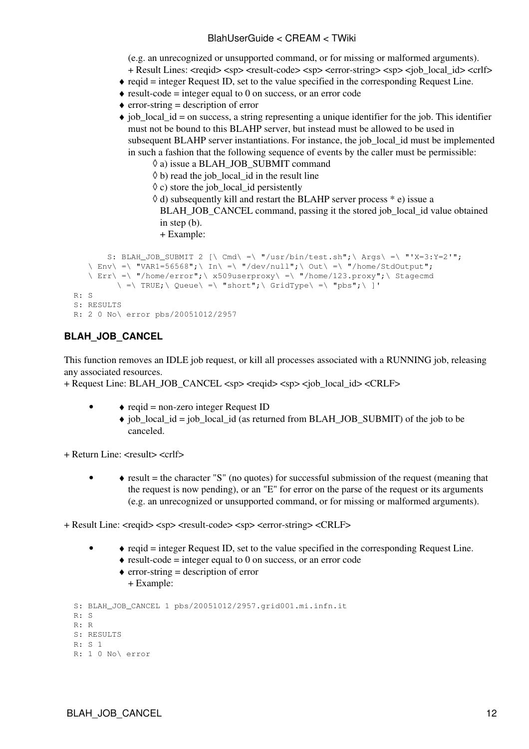(e.g. an unrecognized or unsupported command, or for missing or malformed arguments).

- + Result Lines: <reqid> <sp> <result-code> <sp> <error-string> <sp> <job\_local\_id> <crlf>
- ♦ reqid = integer Request ID, set to the value specified in the corresponding Request Line.
- $\triangle$  result-code = integer equal to 0 on success, or an error code
- $\triangle$  error-string = description of error
- job\_local\_id = on success, a string representing a unique identifier for the job. This identifier ♦ must not be bound to this BLAHP server, but instead must be allowed to be used in subsequent BLAHP server instantiations. For instance, the job\_local\_id must be implemented in such a fashion that the following sequence of events by the caller must be permissible:
	- $\Diamond$  a) issue a BLAH\_JOB\_SUBMIT command
	- $\Diamond$  b) read the job\_local\_id in the result line
	- $\Diamond$  c) store the job\_local\_id persistently

d) subsequently kill and restart the BLAHP server process \* e) issue a ◊ BLAH\_JOB\_CANCEL command, passing it the stored job\_local\_id value obtained in step (b). + Example:

```
S: BLAH_JOB_SUBMIT 2 [\ \ \text{Cmd} \ ] =\ "/usr/bin/test.sh"; \ Args\ =\ "'X=3:Y=2'";
   \sum_{n=1}^{\infty} =\ "VAR1=56568"; \ In\ =\ "/dev/null"; \ Out\ =\ "/home/StdOutput";
    \ Err\ =\ "/home/error";\ x509userproxy\ =\ "/home/123.proxy";\ Stagecmd
          \setminus =\ TRUE;\ Queue\ =\ "short";\ GridType\ =\ "pbs";\ ]'
 R: S
 S: RESULTS
 R: 2 0 No\ error pbs/20051012/2957
```
### <span id="page-12-0"></span>**BLAH\_JOB\_CANCEL**

•

This function removes an IDLE job request, or kill all processes associated with a RUNNING job, releasing any associated resources.

+ Request Line: BLAH\_JOB\_CANCEL <sp> <reqid> <sp> <job\_local\_id> <CRLF>

- $\triangle$  reqid = non-zero integer Request ID
	- job\_local\_id = job\_local\_id (as returned from BLAH\_JOB\_SUBMIT) of the job to be ♦ canceled.

+ Return Line: <result> <crlf>

- • result = the character "S" (no quotes) for successful submission of the request (meaning that the request is now pending), or an "E" for error on the parse of the request or its arguments (e.g. an unrecognized or unsupported command, or for missing or malformed arguments).
- + Result Line: <reqid> <sp> <result-code> <sp> <error-string> <CRLF>
	- ♦ reqid = integer Request ID, set to the value specified in the corresponding Request Line. •
		- $\triangle$  result-code = integer equal to 0 on success, or an error code
			- $\triangle$  error-string = description of error
				- + Example:

```
 S: BLAH_JOB_CANCEL 1 pbs/20051012/2957.grid001.mi.infn.it
 R: S
 R: R
 S: RESULTS
 R: S 1
 R: 1 0 No\ error
```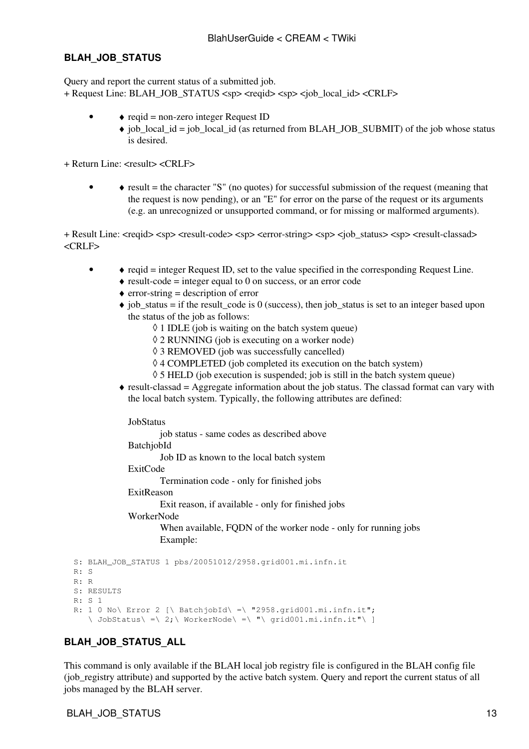#### <span id="page-13-0"></span>**BLAH\_JOB\_STATUS**

Query and report the current status of a submitted job. + Request Line: BLAH\_JOB\_STATUS <sp> <regid> <sp> <job\_local\_id> <CRLF>

- $\triangle$  reqid = non-zero integer Request ID •
	- job\_local\_id = job\_local\_id (as returned from BLAH\_JOB\_SUBMIT) of the job whose status ♦ is desired.

+ Return Line: <result> <CRLF>

• • • result = the character "S" (no quotes) for successful submission of the request (meaning that the request is now pending), or an "E" for error on the parse of the request or its arguments (e.g. an unrecognized or unsupported command, or for missing or malformed arguments).

+ Result Line: <reqid> <sp> <result-code> <sp> <error-string> <sp> <job\_status> <sp> <result-classad> <CRLF>

- $\triangle$  reqid = integer Request ID, set to the value specified in the corresponding Request Line. •
	- $\triangle$  result-code = integer equal to 0 on success, or an error code
	- $\triangle$  error-string = description of error
	- $\bullet$  job\_status = if the result\_code is 0 (success), then job\_status is set to an integer based upon the status of the job as follows:
		- $\Diamond$  1 IDLE (job is waiting on the batch system queue)
		- $\Diamond$  2 RUNNING (job is executing on a worker node)
		- ◊ 3 REMOVED (job was successfully cancelled)
		- ◊ 4 COMPLETED (job completed its execution on the batch system)
		- $\Diamond$  5 HELD (job execution is suspended; job is still in the batch system queue)
	- result-classad = Aggregate information about the job status. The classad format can vary with ♦ the local batch system. Typically, the following attributes are defined:

#### **[JobStatus](https://wiki-igi.cnaf.infn.it/twiki/bin/edit/CREAM/JobStatus?topicparent=CREAM.BlahUserGuide;nowysiwyg=0)**

job status - same codes as described above

[BatchjobId](https://wiki-igi.cnaf.infn.it/twiki/bin/edit/CREAM/BatchjobId?topicparent=CREAM.BlahUserGuide;nowysiwyg=0)

Job ID as known to the local batch system

#### [ExitCode](https://wiki-igi.cnaf.infn.it/twiki/bin/edit/CREAM/ExitCode?topicparent=CREAM.BlahUserGuide;nowysiwyg=0)

Termination code - only for finished jobs

[ExitReason](https://wiki-igi.cnaf.infn.it/twiki/bin/edit/CREAM/ExitReason?topicparent=CREAM.BlahUserGuide;nowysiwyg=0)

Exit reason, if available - only for finished jobs

#### [WorkerNode](https://wiki-igi.cnaf.infn.it/twiki/bin/edit/CREAM/WorkerNode?topicparent=CREAM.BlahUserGuide;nowysiwyg=0)

When available, FQDN of the worker node - only for running jobs Example:

```
S: BLAH JOB STATUS 1 pbs/20051012/2958.grid001.mi.infn.it
R \cdot S R: R
 S: RESULTS
 R: S 1
R: 1 \ 0 \ No\ Error 2 \  \lceil \cdot \right| BatchjobId\lceil \cdot \right| "2958.grid001.mi.infn.it";
    \setminus JobStatus\setminus =\ 2; \ WorkerNode\ =\ "\ grid001.mi.infn.it"\ ]
```
### <span id="page-13-1"></span>**BLAH\_JOB\_STATUS\_ALL**

This command is only available if the BLAH local job registry file is configured in the BLAH config file (job\_registry attribute) and supported by the active batch system. Query and report the current status of all jobs managed by the BLAH server.

#### BLAH\_JOB\_STATUS 13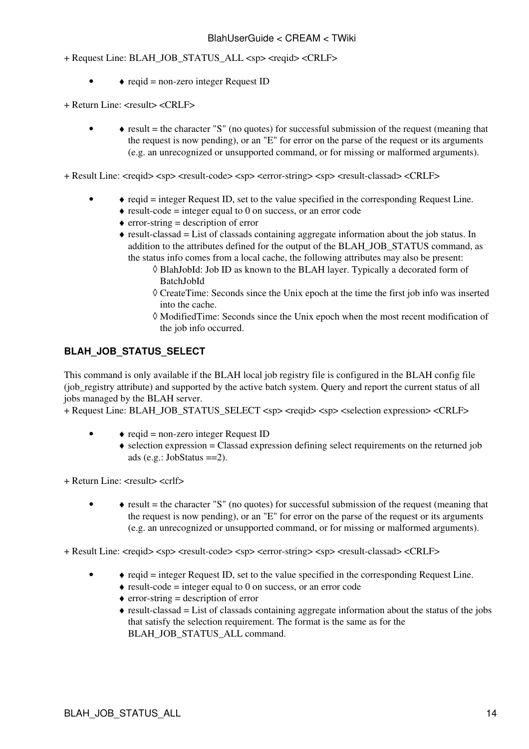+ Request Line: BLAH\_JOB\_STATUS\_ALL <sp> <reqid> <CRLF>

- $\triangle$  reqid = non-zero integer Request ID
- + Return Line: <result> <CRLF>
	- • result = the character "S" (no quotes) for successful submission of the request (meaning that the request is now pending), or an "E" for error on the parse of the request or its arguments (e.g. an unrecognized or unsupported command, or for missing or malformed arguments).

+ Result Line: <reqid> <sp> <result-code> <sp> <error-string> <sp> <result-classad> <CRLF>

- $\triangle$  reqid = integer Request ID, set to the value specified in the corresponding Request Line. •
	- $\triangle$  result-code = integer equal to 0 on success, or an error code
	- $\triangle$  error-string = description of error
	- result-classad = List of classads containing aggregate information about the job status. In ♦ addition to the attributes defined for the output of the BLAH\_JOB\_STATUS command, as the status info comes from a local cache, the following attributes may also be present:
		- [BlahJobId](https://wiki-igi.cnaf.infn.it/twiki/bin/edit/CREAM/BlahJobId?topicparent=CREAM.BlahUserGuide;nowysiwyg=0): Job ID as known to the BLAH layer. Typically a decorated form of ◊ [BatchJobId](https://wiki-igi.cnaf.infn.it/twiki/bin/edit/CREAM/BatchJobId?topicparent=CREAM.BlahUserGuide;nowysiwyg=0)
		- [CreateTime:](https://wiki-igi.cnaf.infn.it/twiki/bin/edit/CREAM/CreateTime?topicparent=CREAM.BlahUserGuide;nowysiwyg=0) Seconds since the Unix epoch at the time the first job info was inserted ◊ into the cache.
		- [ModifiedTime](https://wiki-igi.cnaf.infn.it/twiki/bin/edit/CREAM/ModifiedTime?topicparent=CREAM.BlahUserGuide;nowysiwyg=0): Seconds since the Unix epoch when the most recent modification of ◊ the job info occurred.

#### <span id="page-14-0"></span>**BLAH\_JOB\_STATUS\_SELECT**

This command is only available if the BLAH local job registry file is configured in the BLAH config file (job\_registry attribute) and supported by the active batch system. Query and report the current status of all jobs managed by the BLAH server.

+ Request Line: BLAH\_JOB\_STATUS\_SELECT <sp> <reqid> <sp> <selection expression> <CRLF>

- $\triangle$  reqid = non-zero integer Request ID •
	- selection expression = Classad expression defining select requirements on the returned job ♦ ads  $(e.g.: JobStatus == 2)$  $(e.g.: JobStatus == 2)$  $(e.g.: JobStatus == 2)$ .
- + Return Line: <result> <crlf>
	- • result = the character "S" (no quotes) for successful submission of the request (meaning that the request is now pending), or an "E" for error on the parse of the request or its arguments (e.g. an unrecognized or unsupported command, or for missing or malformed arguments).

+ Result Line: <reqid> <sp> <result-code> <sp> <error-string> <sp> <result-classad> <CRLF>

- ♦ reqid = integer Request ID, set to the value specified in the corresponding Request Line. •
	- $\triangle$  result-code = integer equal to 0 on success, or an error code
	- $\triangle$  error-string = description of error
	- result-classad = List of classads containing aggregate information about the status of the jobs ♦ that satisfy the selection requirement. The format is the same as for the BLAH\_JOB\_STATUS\_ALL command.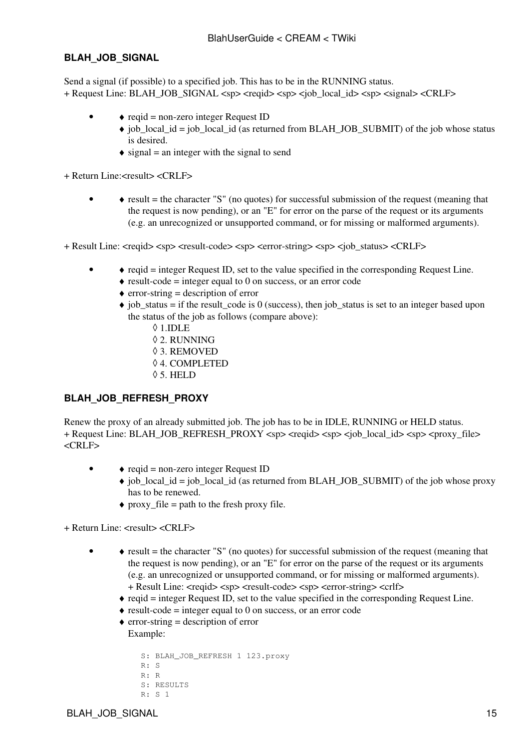#### <span id="page-15-0"></span>**BLAH\_JOB\_SIGNAL**

Send a signal (if possible) to a specified job. This has to be in the RUNNING status. + Request Line: BLAH\_JOB\_SIGNAL <sp> <reqid> <sp> <sp> <job\_local\_id> <sp> <signal> <CRLF>

- $\triangle$  reqid = non-zero integer Request ID •
	- job\_local\_id = job\_local\_id (as returned from BLAH\_JOB\_SUBMIT) of the job whose status ♦ is desired.
	- $\triangleleft$  signal = an integer with the signal to send

+ Return Line:<result> <CRLF>

•  $\rightarrow$  result = the character "S" (no quotes) for successful submission of the request (meaning that the request is now pending), or an "E" for error on the parse of the request or its arguments (e.g. an unrecognized or unsupported command, or for missing or malformed arguments).

+ Result Line: <reqid> <sp> <result-code> <sp> <error-string> <sp> <job\_status> <CRLF>

- $\triangle$  reqid = integer Request ID, set to the value specified in the corresponding Request Line. •
	- $\triangle$  result-code = integer equal to 0 on success, or an error code
	- $\triangle$  error-string = description of error
	- $\bullet$  job\_status = if the result\_code is 0 (success), then job\_status is set to an integer based upon the status of the job as follows (compare above):
		- ◊ 1.IDLE
		- ◊ 2. RUNNING
		- ◊ 3. REMOVED
		- ◊ 4. COMPLETED
		- ◊ 5. HELD

#### <span id="page-15-1"></span>**BLAH\_JOB\_REFRESH\_PROXY**

Renew the proxy of an already submitted job. The job has to be in IDLE, RUNNING or HELD status. + Request Line: BLAH\_JOB\_REFRESH\_PROXY <sp> <requid> <sp> <job\_local\_id> <sp> <proxy\_file> <CRLF>

- $\triangle$  reqid = non-zero integer Request ID •
	- job\_local\_id = job\_local\_id (as returned from BLAH\_JOB\_SUBMIT) of the job whose proxy ♦ has to be renewed.
		- $\triangle$  proxy file = path to the fresh proxy file.

+ Return Line: <result> <CRLF>

•

- result = the character "S" (no quotes) for successful submission of the request (meaning that ♦ the request is now pending), or an "E" for error on the parse of the request or its arguments (e.g. an unrecognized or unsupported command, or for missing or malformed arguments). + Result Line: <reqid> <sp> <result-code> <sp> <error-string> <crlf>
	- $\bullet$  reqid = integer Request ID, set to the value specified in the corresponding Request Line.
	- $\triangle$  result-code = integer equal to 0 on success, or an error code
	- $\triangle$  error-string = description of error
	- Example:

```
 S: BLAH_JOB_REFRESH 1 123.proxy
 R: S
 R: R
 S: RESULTS
 R: S 1
```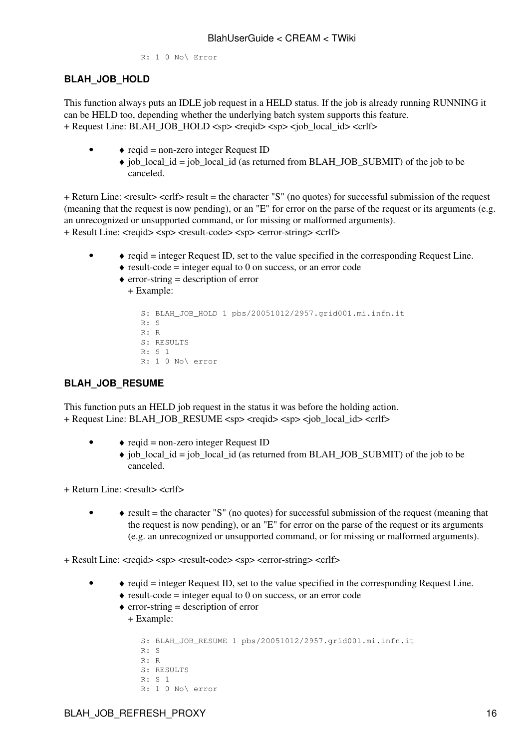R: 1 0 No\ Error

#### <span id="page-16-0"></span>**BLAH\_JOB\_HOLD**

This function always puts an IDLE job request in a HELD status. If the job is already running RUNNING it can be HELD too, depending whether the underlying batch system supports this feature. + Request Line: BLAH\_JOB\_HOLD <sp> <reqid> <sp> <job\_local\_id> <crlf>

- ♦ reqid = non-zero integer Request ID •
	- job\_local\_id = job\_local\_id (as returned from BLAH\_JOB\_SUBMIT) of the job to be ♦ canceled.

+ Return Line: <result> <crlf> result = the character "S" (no quotes) for successful submission of the request (meaning that the request is now pending), or an "E" for error on the parse of the request or its arguments (e.g. an unrecognized or unsupported command, or for missing or malformed arguments). + Result Line: <reqid> <sp> <result-code> <sp> <error-string> <crlf>

- ♦ reqid = integer Request ID, set to the value specified in the corresponding Request Line. •
	- $\triangle$  result-code = integer equal to 0 on success, or an error code
	- $\triangle$  error-string = description of error

```
+ Example:
```

```
 S: BLAH_JOB_HOLD 1 pbs/20051012/2957.grid001.mi.infn.it
 R: S
 R: R
 S: RESULTS
 R: S 1
 R: 1 0 No\ error
```
#### <span id="page-16-1"></span>**BLAH\_JOB\_RESUME**

This function puts an HELD job request in the status it was before the holding action. + Request Line: BLAH\_JOB\_RESUME <sp> <reqid> <sp> <sp> <job\_local\_id> <crlf>

- ♦ reqid = non-zero integer Request ID •
	- job\_local\_id = job\_local\_id (as returned from BLAH\_JOB\_SUBMIT) of the job to be ♦ canceled.

+ Return Line: <result> <crlf>

•  $\rightarrow$  result = the character "S" (no quotes) for successful submission of the request (meaning that the request is now pending), or an "E" for error on the parse of the request or its arguments (e.g. an unrecognized or unsupported command, or for missing or malformed arguments).

+ Result Line: <reqid> <sp> <result-code> <sp> <error-string> <crlf>

- $\bullet$  reqid = integer Request ID, set to the value specified in the corresponding Request Line. •
	- $\triangle$  result-code = integer equal to 0 on success, or an error code
	- $\triangle$  error-string = description of error + Example:

```
S: BLAH_JOB_RESUME 1 pbs/20051012/2957.grid001.mi.infn.it
 R: S
 R: R
 S: RESULTS
R \cdot S 1
 R: 1 0 No\ error
```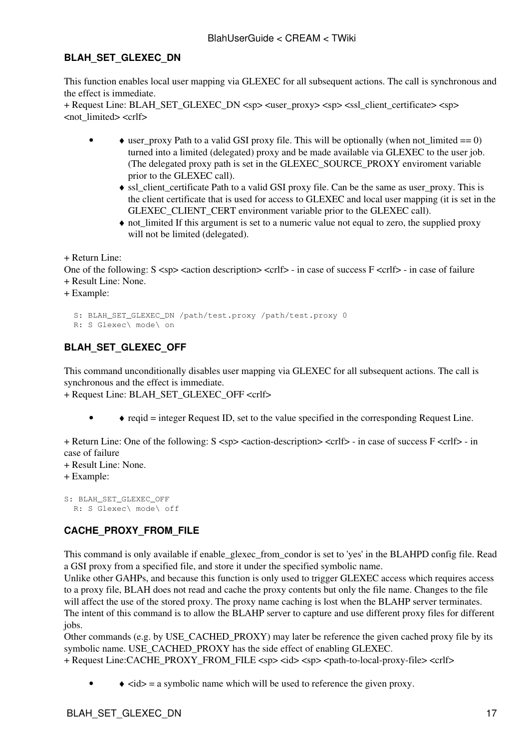#### <span id="page-17-0"></span>**BLAH\_SET\_GLEXEC\_DN**

This function enables local user mapping via GLEXEC for all subsequent actions. The call is synchronous and the effect is immediate.

+ Request Line: BLAH\_SET\_GLEXEC\_DN <sp> <user\_proxy> <sp> <ssl\_client\_certificate> <sp> <not\_limited> <crlf>

- $\bullet$  user\_proxy Path to a valid GSI proxy file. This will be optionally (when not\_limited == 0) turned into a limited (delegated) proxy and be made available via GLEXEC to the user job. (The delegated proxy path is set in the GLEXEC\_SOURCE\_PROXY enviroment variable prior to the GLEXEC call). •
	- ssl\_client\_certificate Path to a valid GSI proxy file. Can be the same as user\_proxy. This is ♦ the client certificate that is used for access to GLEXEC and local user mapping (it is set in the GLEXEC\_CLIENT\_CERT environment variable prior to the GLEXEC call).
	- not\_limited If this argument is set to a numeric value not equal to zero, the supplied proxy ♦ will not be limited (delegated).

+ Return Line:

One of the following:  $S \leq sp$  < action description  $\leq$   $\leq$  relfs - in case of success  $F \leq$   $\leq$  relfs - in case of failure + Result Line: None.

+ Example:

```
 S: BLAH_SET_GLEXEC_DN /path/test.proxy /path/test.proxy 0
 R: S Glexec\ mode\ on
```
### <span id="page-17-1"></span>**BLAH\_SET\_GLEXEC\_OFF**

This command unconditionally disables user mapping via GLEXEC for all subsequent actions. The call is synchronous and the effect is immediate.

+ Request Line: BLAH\_SET\_GLEXEC\_OFF <crlf>

 $\bullet$  reqid = integer Request ID, set to the value specified in the corresponding Request Line.

+ Return Line: One of the following: S <sp> <action-description> <crlf> - in case of success F <crlf> - in case of failure

+ Result Line: None.

+ Example:

```
S: BLAH_SET_GLEXEC_OFF
   R: S Glexec\ mode\ off
```
### <span id="page-17-2"></span>**CACHE\_PROXY\_FROM\_FILE**

This command is only available if enable\_glexec\_from\_condor is set to 'yes' in the BLAHPD config file. Read a GSI proxy from a specified file, and store it under the specified symbolic name.

Unlike other GAHPs, and because this function is only used to trigger GLEXEC access which requires access to a proxy file, BLAH does not read and cache the proxy contents but only the file name. Changes to the file will affect the use of the stored proxy. The proxy name caching is lost when the BLAHP server terminates. The intent of this command is to allow the BLAHP server to capture and use different proxy files for different jobs.

Other commands (e.g. by USE\_CACHED\_PROXY) may later be reference the given cached proxy file by its symbolic name. USE\_CACHED\_PROXY has the side effect of enabling GLEXEC.

+ Request Line:CACHE\_PROXY\_FROM\_FILE <sp> <id> <sp> <path-to-local-proxy-file> <crlf>

 $\triangleleft$  <id > = a symbolic name which will be used to reference the given proxy.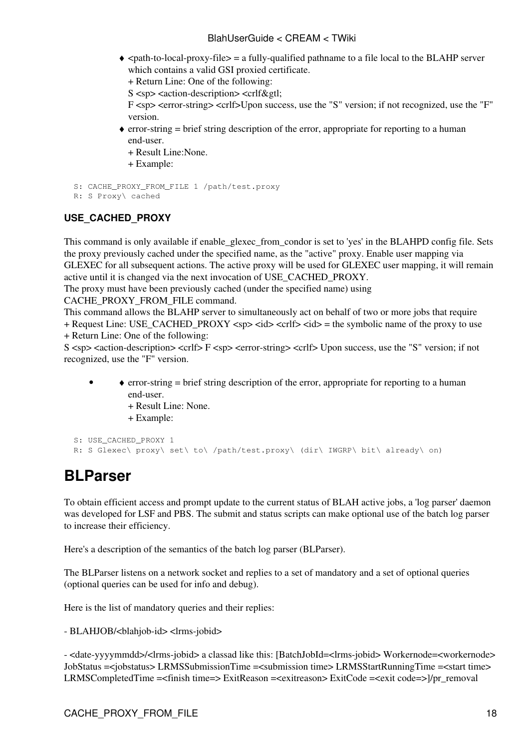- <path-to-local-proxy-file> = a fully-qualified pathname to a file local to the BLAHP server ♦ which contains a valid GSI proxied certificate.
	- + Return Line: One of the following:
	- $S \leq sp$  < action-description > <crlf&gtl;

F <sp> <error-string> <crlf>Upon success, use the "S" version; if not recognized, use the "F" version.

error-string = brief string description of the error, appropriate for reporting to a human ♦ end-user.

+ Result Line:None.

+ Example:

```
 S: CACHE_PROXY_FROM_FILE 1 /path/test.proxy
```

```
 R: S Proxy\ cached
```
### <span id="page-18-0"></span>**USE\_CACHED\_PROXY**

This command is only available if enable\_glexec\_from\_condor is set to 'yes' in the BLAHPD config file. Sets the proxy previously cached under the specified name, as the "active" proxy. Enable user mapping via GLEXEC for all subsequent actions. The active proxy will be used for GLEXEC user mapping, it will remain active until it is changed via the next invocation of USE\_CACHED\_PROXY.

The proxy must have been previously cached (under the specified name) using

CACHE\_PROXY\_FROM\_FILE command.

This command allows the BLAHP server to simultaneously act on behalf of two or more jobs that require + Request Line: USE\_CACHED\_PROXY <sp> <id> <crlf>  $\langle$  <id> = the symbolic name of the proxy to use

+ Return Line: One of the following:

S <sp> <action-description> <crlf> F <sp> <error-string> <crlf> Upon success, use the "S" version; if not recognized, use the "F" version.

- error-string = brief string description of the error, appropriate for reporting to a human ♦ end-user.
	- + Result Line: None.
	- + Example:

```
 S: USE_CACHED_PROXY 1 
R: S Glexec\ proxy\ set\ to\ /path/test.proxy\ (dir\ IWGRP\ bit\ already\ on)
```
## <span id="page-18-1"></span>**BLParser**

To obtain efficient access and prompt update to the current status of BLAH active jobs, a 'log parser' daemon was developed for LSF and PBS. The submit and status scripts can make optional use of the batch log parser to increase their efficiency.

Here's a description of the semantics of the batch log parser (BLParser).

The BLParser listens on a network socket and replies to a set of mandatory and a set of optional queries (optional queries can be used for info and debug).

Here is the list of mandatory queries and their replies:

- BLAHJOB/<blahjob-id> <lrms-jobid>

- <date-yyyymmdd>/<lrms-jobid> a classad like this: [BatchJobId=<lrms-jobid> Workernode=<workernode> [JobStatus](https://wiki-igi.cnaf.infn.it/twiki/bin/edit/CREAM/JobStatus?topicparent=CREAM.BlahUserGuide;nowysiwyg=0) =<jobstatus> [LRMSSubmissionTime](https://wiki-igi.cnaf.infn.it/twiki/bin/edit/CREAM/LRMSSubmissionTime?topicparent=CREAM.BlahUserGuide;nowysiwyg=0) =<submission time> [LRMSStartRunningTime](https://wiki-igi.cnaf.infn.it/twiki/bin/edit/CREAM/LRMSStartRunningTime?topicparent=CREAM.BlahUserGuide;nowysiwyg=0) =<start time> [LRMSCompletedTime](https://wiki-igi.cnaf.infn.it/twiki/bin/edit/CREAM/LRMSCompletedTime?topicparent=CREAM.BlahUserGuide;nowysiwyg=0) =<finish time=> [ExitReason](https://wiki-igi.cnaf.infn.it/twiki/bin/edit/CREAM/ExitReason?topicparent=CREAM.BlahUserGuide;nowysiwyg=0) =<exitreason> [ExitCode](https://wiki-igi.cnaf.infn.it/twiki/bin/edit/CREAM/ExitCode?topicparent=CREAM.BlahUserGuide;nowysiwyg=0) =<exit code=> $1/pr$  removal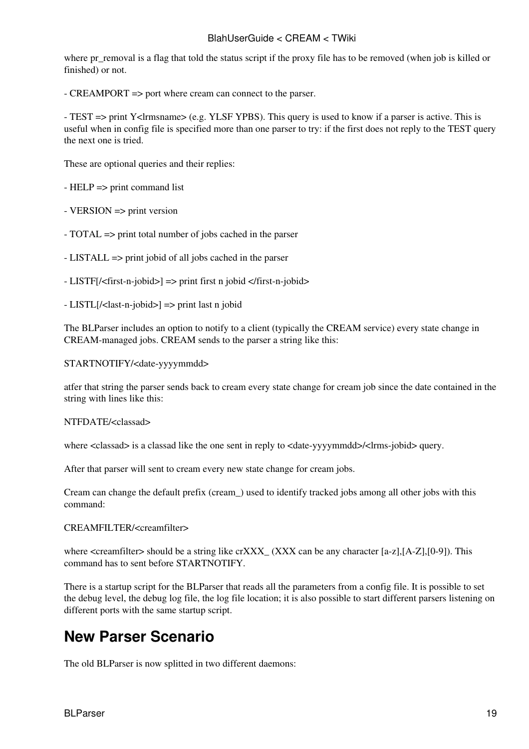where pr\_removal is a flag that told the status script if the proxy file has to be removed (when job is killed or finished) or not.

- CREAMPORT => port where cream can connect to the parser.

- TEST => print Y<lrmsname> (e.g. YLSF YPBS). This query is used to know if a parser is active. This is useful when in config file is specified more than one parser to try: if the first does not reply to the TEST query the next one is tried.

These are optional queries and their replies:

- HELP => print command list

 $-$  VERSION  $\Rightarrow$  print version

- TOTAL => print total number of jobs cached in the parser

- LISTALL => print jobid of all jobs cached in the parser

- LISTF[/<first-n-jobid>] => print first n jobid </first-n-jobid>
- LISTL[/<last-n-jobid>] => print last n jobid

The BLParser includes an option to notify to a client (typically the CREAM service) every state change in CREAM-managed jobs. CREAM sends to the parser a string like this:

STARTNOTIFY/<date-yyyymmdd>

atfer that string the parser sends back to cream every state change for cream job since the date contained in the string with lines like this:

NTFDATE/<classad>

where <classad> is a classad like the one sent in reply to <date-yyyymmdd>/<lms-jobid> query.

After that parser will sent to cream every new state change for cream jobs.

Cream can change the default prefix (cream\_) used to identify tracked jobs among all other jobs with this command:

#### CREAMFILTER/<creamfilter>

where  $\leq$ creamfilter $>$  should be a string like crXXX  $(XXX)$  can be any character [a-z],[A-Z],[0-9]). This command has to sent before STARTNOTIFY.

There is a startup script for the BLParser that reads all the parameters from a config file. It is possible to set the debug level, the debug log file, the log file location; it is also possible to start different parsers listening on different ports with the same startup script.

## <span id="page-19-0"></span>**New Parser Scenario**

The old BLParser is now splitted in two different daemons: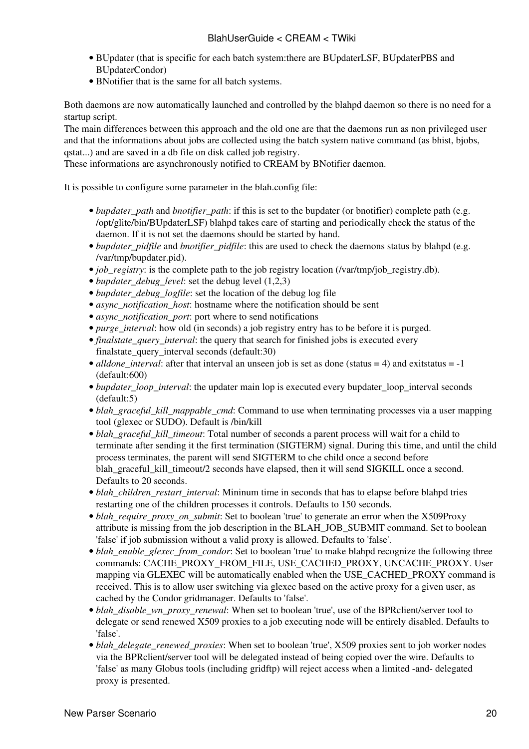- BUpdater (that is specific for each batch system:there are [BUpdaterLSF,](https://wiki-igi.cnaf.infn.it/twiki/bin/edit/CREAM/BUpdaterLSF?topicparent=CREAM.BlahUserGuide;nowysiwyg=0) [BUpdaterPBS](https://wiki-igi.cnaf.infn.it/twiki/bin/edit/CREAM/BUpdaterPBS?topicparent=CREAM.BlahUserGuide;nowysiwyg=0) and [BUpdaterCondor\)](https://wiki-igi.cnaf.infn.it/twiki/bin/edit/CREAM/BUpdaterCondor?topicparent=CREAM.BlahUserGuide;nowysiwyg=0)
- BNotifier that is the same for all batch systems.

Both daemons are now automatically launched and controlled by the blahpd daemon so there is no need for a startup script.

The main differences between this approach and the old one are that the daemons run as non privileged user and that the informations about jobs are collected using the batch system native command (as bhist, bjobs, qstat...) and are saved in a db file on disk called job registry.

These informations are asynchronously notified to CREAM by BNotifier daemon.

It is possible to configure some parameter in the blah.config file:

- *bupdater\_path* and *bnotifier\_path*: if this is set to the bupdater (or bnotifier) complete path (e.g. /opt/glite/bin/BUpdaterLSF) blahpd takes care of starting and periodically check the status of the daemon. If it is not set the daemons should be started by hand.
- *bupdater\_pidfile* and *bnotifier\_pidfile*: this are used to check the daemons status by blahpd (e.g. /var/tmp/bupdater.pid).
- *job registry*: is the complete path to the job registry location (/var/tmp/job registry.db).
- *bupdater debug level*: set the debug level (1,2,3)
- *bupdater\_debug\_logfile*: set the location of the debug log file
- *async\_notification\_host*: hostname where the notification should be sent
- *async\_notification\_port*: port where to send notifications
- *purge interval*: how old (in seconds) a job registry entry has to be before it is purged.
- *finalstate\_query\_interval*: the query that search for finished jobs is executed every finalstate\_query\_interval seconds (default:30)
- *alldone\_interval*: after that interval an unseen job is set as done (status = 4) and exitstatus = -1 (default:600)
- bupdater\_loop\_interval: the updater main lop is executed every bupdater\_loop\_interval seconds (default:5)
- blah\_graceful\_kill\_mappable\_cmd: Command to use when terminating processes via a user mapping tool (glexec or SUDO). Default is /bin/kill
- *blah\_graceful\_kill\_timeout*: Total number of seconds a parent process will wait for a child to terminate after sending it the first termination (SIGTERM) signal. During this time, and until the child process terminates, the parent will send SIGTERM to che child once a second before blah\_graceful\_kill\_timeout/2 seconds have elapsed, then it will send SIGKILL once a second. Defaults to 20 seconds.
- blah\_children\_restart\_interval: Mininum time in seconds that has to elapse before blahpd tries restarting one of the children processes it controls. Defaults to 150 seconds.
- blah\_require\_proxy\_on\_submit: Set to boolean 'true' to generate an error when the [X509Proxy](https://wiki-igi.cnaf.infn.it/twiki/bin/edit/CREAM/X509Proxy?topicparent=CREAM.BlahUserGuide;nowysiwyg=0) attribute is missing from the job description in the BLAH\_JOB\_SUBMIT command. Set to boolean 'false' if job submission without a valid proxy is allowed. Defaults to 'false'.
- blah\_enable\_glexec\_from\_condor: Set to boolean 'true' to make blahpd recognize the following three commands: CACHE\_PROXY\_FROM\_FILE, USE\_CACHED\_PROXY, UNCACHE\_PROXY. User mapping via GLEXEC will be automatically enabled when the USE\_CACHED\_PROXY command is received. This is to allow user switching via glexec based on the active proxy for a given user, as cached by the Condor gridmanager. Defaults to 'false'.
- *blah\_disable\_wn\_proxy\_renewal*: When set to boolean 'true', use of the BPRclient/server tool to delegate or send renewed X509 proxies to a job executing node will be entirely disabled. Defaults to 'false'.
- blah\_delegate\_renewed\_proxies: When set to boolean 'true', X509 proxies sent to job worker nodes via the BPRclient/server tool will be delegated instead of being copied over the wire. Defaults to 'false' as many Globus tools (including gridftp) will reject access when a limited -and- delegated proxy is presented.